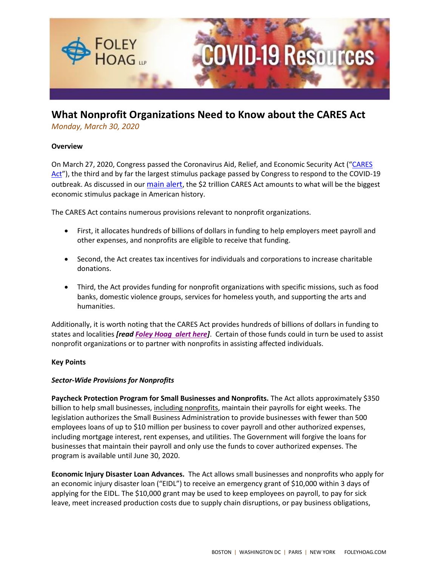

# **What Nonprofit Organizations Need to Know about the CARES Act**

*Monday, March 30, 2020*

# **Overview**

On March 27, 2020, Congress passed the Coronavirus Aid, Relief, and Economic Security Act ("CARES [Act](https://www.congress.gov/116/bills/hr748/BILLS-116hr748eas.pdf)"), the third and by far the largest stimulus package passed by Congress to respond to the COVID-19 outbreak. As discussed in our [main alert](https://foleyhoag.com/publications/alerts-and-updates/2020/march/the-2-trillion-federal-cares-act-the-key-financial-assistance-provisions-key-legislative-changes-and-next-steps), the \$2 trillion CARES Act amounts to what will be the biggest economic stimulus package in American history.

The CARES Act contains numerous provisions relevant to nonprofit organizations.

- First, it allocates hundreds of billions of dollars in funding to help employers meet payroll and other expenses, and nonprofits are eligible to receive that funding.
- Second, the Act creates tax incentives for individuals and corporations to increase charitable donations.
- Third, the Act provides funding for nonprofit organizations with specific missions, such as food banks, domestic violence groups, services for homeless youth, and supporting the arts and humanities.

Additionally, it is worth noting that the CARES Act provides hundreds of billions of dollars in funding to states and localities *[read [Foley Hoag alert](https://www.foleyhoag.com/-/media/7295702308ec4d56aa97c4f974948c76.ashx) here]*. Certain of those funds could in turn be used to assist nonprofit organizations or to partner with nonprofits in assisting affected individuals.

# **Key Points**

# *Sector-Wide Provisions for Nonprofits*

**Paycheck Protection Program for Small Businesses and Nonprofits.** The Act allots approximately \$350 billion to help small businesses, including nonprofits, maintain their payrolls for eight weeks. The legislation authorizes the Small Business Administration to provide businesses with fewer than 500 employees loans of up to \$10 million per business to cover payroll and other authorized expenses, including mortgage interest, rent expenses, and utilities. The Government will forgive the loans for businesses that maintain their payroll and only use the funds to cover authorized expenses. The program is available until June 30, 2020.

**Economic Injury Disaster Loan Advances.** The Act allows small businesses and nonprofits who apply for an economic injury disaster loan ("EIDL") to receive an emergency grant of \$10,000 within 3 days of applying for the EIDL. The \$10,000 grant may be used to keep employees on payroll, to pay for sick leave, meet increased production costs due to supply chain disruptions, or pay business obligations,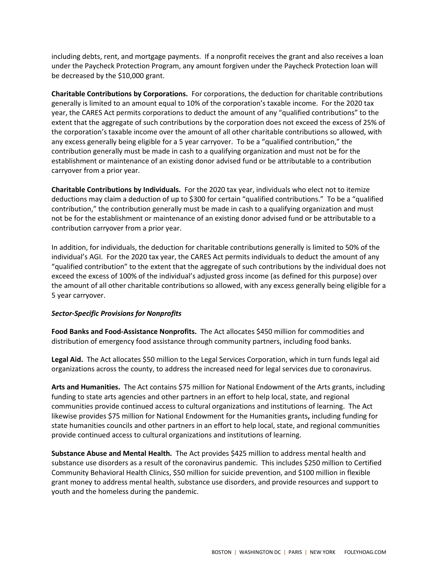including debts, rent, and mortgage payments. If a nonprofit receives the grant and also receives a loan under the Paycheck Protection Program, any amount forgiven under the Paycheck Protection loan will be decreased by the \$10,000 grant.

**Charitable Contributions by Corporations.** For corporations, the deduction for charitable contributions generally is limited to an amount equal to 10% of the corporation's taxable income. For the 2020 tax year, the CARES Act permits corporations to deduct the amount of any "qualified contributions" to the extent that the aggregate of such contributions by the corporation does not exceed the excess of 25% of the corporation's taxable income over the amount of all other charitable contributions so allowed, with any excess generally being eligible for a 5 year carryover. To be a "qualified contribution," the contribution generally must be made in cash to a qualifying organization and must not be for the establishment or maintenance of an existing donor advised fund or be attributable to a contribution carryover from a prior year.

**Charitable Contributions by Individuals.** For the 2020 tax year, individuals who elect not to itemize deductions may claim a deduction of up to \$300 for certain "qualified contributions." To be a "qualified contribution," the contribution generally must be made in cash to a qualifying organization and must not be for the establishment or maintenance of an existing donor advised fund or be attributable to a contribution carryover from a prior year.

In addition, for individuals, the deduction for charitable contributions generally is limited to 50% of the individual's AGI. For the 2020 tax year, the CARES Act permits individuals to deduct the amount of any "qualified contribution" to the extent that the aggregate of such contributions by the individual does not exceed the excess of 100% of the individual's adjusted gross income (as defined for this purpose) over the amount of all other charitable contributions so allowed, with any excess generally being eligible for a 5 year carryover.

### *Sector-Specific Provisions for Nonprofits*

**Food Banks and Food-Assistance Nonprofits.** The Act allocates \$450 million for commodities and distribution of emergency food assistance through community partners, including food banks.

**Legal Aid.** The Act allocates \$50 million to the Legal Services Corporation, which in turn funds legal aid organizations across the county, to address the increased need for legal services due to coronavirus.

**Arts and Humanities.** The Act contains \$75 million for National Endowment of the Arts grants, including funding to state arts agencies and other partners in an effort to help local, state, and regional communities provide continued access to cultural organizations and institutions of learning. The Act likewise provides \$75 million for National Endowment for the Humanities grants**,** including funding for state humanities councils and other partners in an effort to help local, state, and regional communities provide continued access to cultural organizations and institutions of learning.

**Substance Abuse and Mental Health.** The Act provides \$425 million to address mental health and substance use disorders as a result of the coronavirus pandemic. This includes \$250 million to Certified Community Behavioral Health Clinics, \$50 million for suicide prevention, and \$100 million in flexible grant money to address mental health, substance use disorders, and provide resources and support to youth and the homeless during the pandemic.